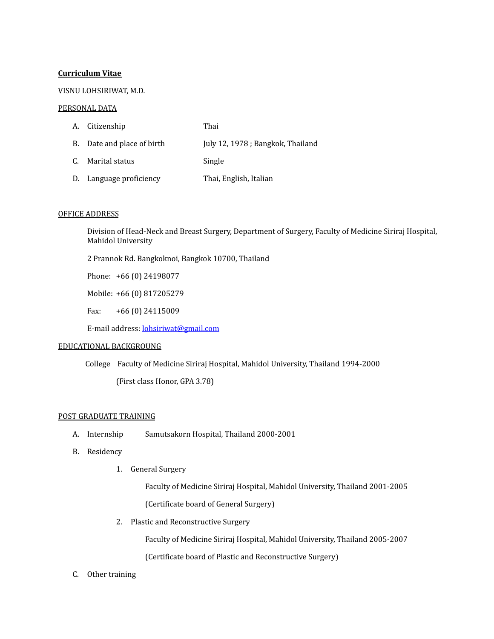# **Curriculum Vitae**

# VISNU LOHSIRIWAT, M.D.

#### PERSONAL DATA

| A. Citizenship             | Thai                             |
|----------------------------|----------------------------------|
| B. Date and place of birth | July 12, 1978; Bangkok, Thailand |
| C. Marital status          | Single                           |
| D. Language proficiency    | Thai, English, Italian           |

#### OFFICE ADDRESS

Division of Head-Neck and Breast Surgery, Department of Surgery, Faculty of Medicine Siriraj Hospital, Mahidol University

2 Prannok Rd. Bangkoknoi, Bangkok 10700, Thailand

Phone: +66 (0) 24198077

Mobile: +66 (0) 817205279

Fax: +66 (0) 24115009

E-mail address: [lohsiriwat@gmail.com](mailto:lohsiriwat@gmail.com)

### EDUCATIONAL BACKGROUNG

College Faculty of Medicine Siriraj Hospital, Mahidol University, Thailand 1994-2000

(First class Honor, GPA 3.78)

### POST GRADUATE TRAINING

- A. Internship Samutsakorn Hospital, Thailand 2000-2001
- B. Residency
	- 1. General Surgery

Faculty of Medicine Siriraj Hospital, Mahidol University, Thailand 2001-2005 (Certificate board of General Surgery)

2. Plastic and Reconstructive Surgery

Faculty of Medicine Siriraj Hospital, Mahidol University, Thailand 2005-2007 (Certificate board of Plastic and Reconstructive Surgery)

C. Other training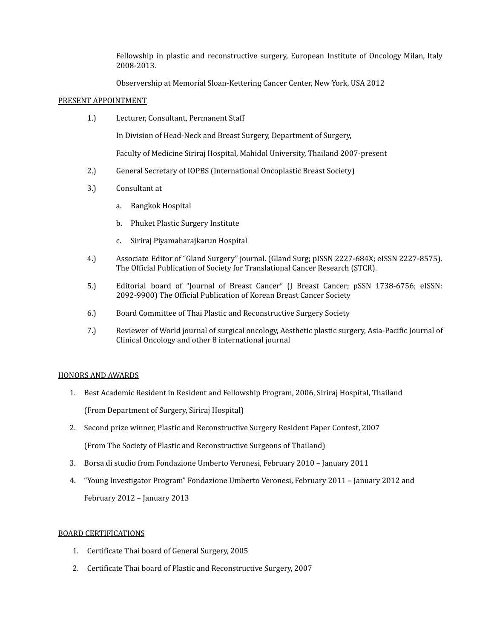Fellowship in plastic and reconstructive surgery, European Institute of Oncology Milan, Italy 2008-2013.

Observership at Memorial Sloan-Kettering Cancer Center, New York, USA 2012

### PRESENT APPOINTMENT

1.) Lecturer, Consultant, Permanent Staff

In Division of Head-Neck and Breast Surgery, Department of Surgery,

Faculty of Medicine Siriraj Hospital, Mahidol University, Thailand 2007-present

- 2.) General Secretary of IOPBS (International Oncoplastic Breast Society)
- 3.) Consultant at
	- a. Bangkok Hospital
	- b. Phuket Plastic Surgery Institute
	- c. Siriraj Piyamaharajkarun Hospital
- 4.) Associate Editor of "Gland Surgery" journal. (Gland Surg; pISSN 2227-684X; eISSN 2227-8575). The Official Publication of Society for Translational Cancer Research (STCR).
- 5.) Editorial board of "Journal of Breast Cancer" (J Breast Cancer; pSSN 1738-6756; eISSN: 2092-9900) The Official Publication of Korean Breast Cancer Society
- 6.) Board Committee of Thai Plastic and Reconstructive Surgery Society
- 7.) Reviewer of World journal of surgical oncology, Aesthetic plastic surgery, Asia-Pacific Journal of Clinical Oncology and other 8 international journal

### HONORS AND AWARDS

- 1. Best Academic Resident in Resident and Fellowship Program, 2006, Siriraj Hospital, Thailand (From Department of Surgery, Siriraj Hospital)
- 2. Second prize winner, Plastic and Reconstructive Surgery Resident Paper Contest, 2007 (From The Society of Plastic and Reconstructive Surgeons of Thailand)
- 3. Borsa di studio from Fondazione Umberto Veronesi, February 2010 January 2011
- 4. "Young Investigator Program" Fondazione Umberto Veronesi, February 2011 January 2012 and February 2012 – January 2013

### BOARD CERTIFICATIONS

- 1. Certificate Thai board of General Surgery, 2005
- 2. Certificate Thai board of Plastic and Reconstructive Surgery, 2007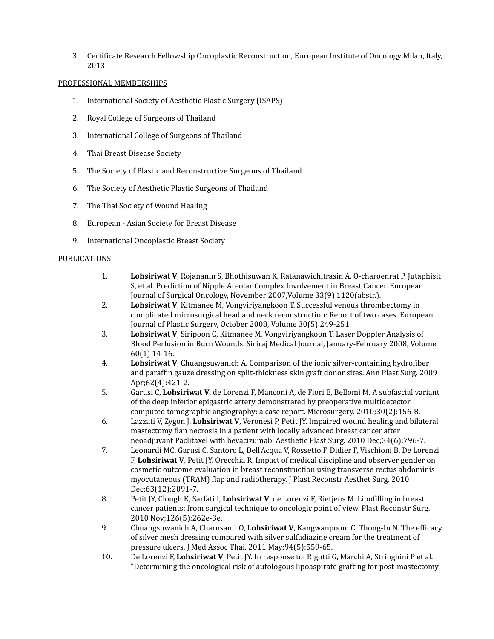3. Certificate Research Fellowship Oncoplastic Reconstruction, European Institute of Oncology Milan, Italy, 2013

### PROFESSIONAL MEMBERSHIPS

- 1. International Society of Aesthetic Plastic Surgery (ISAPS)
- 2. Royal College of Surgeons of Thailand
- 3. International College of Surgeons of Thailand
- 4. Thai Breast Disease Society
- 5. The Society of Plastic and Reconstructive Surgeons of Thailand
- 6. The Society of Aesthetic Plastic Surgeons of Thailand
- 7. The Thai Society of Wound Healing
- 8. European Asian Society for Breast Disease
- 9. International Oncoplastic Breast Society

### **PUBLICATIONS**

- 1. **Lohsiriwat V**, Rojananin S, Bhothisuwan K, Ratanawichitrasin A, O-charoenrat P, Jutaphisit S, et al. Prediction of Nipple Areolar Complex Involvement in Breast Cancer. European Journal of Surgical Oncology, November 2007,Volume 33(9) 1120(abstr.).
- 2. **Lohsiriwat V**, Kitmanee M, Vongviriyangkoon T. Successful venous thrombectomy in complicated microsurgical head and neck reconstruction: Report of two cases. European Journal of Plastic Surgery, October 2008, Volume 30(5) 249-251.
- 3. **Lohsiriwat V**, Siripoon C, Kitmanee M, Vongviriyangkoon T. Laser Doppler Analysis of Blood Perfusion in Burn Wounds. Siriraj Medical Journal, January-February 2008, Volume 60(1) 14-16.
- 4. **Lohsiriwat V**, Chuangsuwanich A. Comparison of the ionic silver-containing hydrofiber and paraffin gauze dressing on split-thickness skin graft donor sites. Ann Plast Surg. 2009 Apr;62(4):421-2.
- 5. Garusi C, **Lohsiriwat V**, de Lorenzi F, Manconi A, de Fiori E, Bellomi M. A subfascial variant of the deep inferior epigastric artery demonstrated by preoperative multidetector computed tomographic angiography: a case report. Microsurgery. 2010;30(2):156-8.
- 6. Lazzati V, Zygon J, **Lohsiriwat V**, Veronesi P, Petit JY. Impaired wound healing and bilateral mastectomy flap necrosis in a patient with locally advanced breast cancer after neoadjuvant Paclitaxel with bevacizumab. Aesthetic Plast Surg. 2010 Dec;34(6):796-7.
- 7. Leonardi MC, Garusi C, Santoro L, Dell'Acqua V, Rossetto F, Didier F, Vischioni B, De Lorenzi F, **Lohsiriwat V**, Petit JY, Orecchia R. Impact of medical discipline and observer gender on cosmetic outcome evaluation in breast reconstruction using transverse rectus abdominis myocutaneous (TRAM) flap and radiotherapy. J Plast Reconstr Aesthet Surg. 2010 Dec;63(12):2091-7.
- 8. Petit JY, Clough K, Sarfati I, **Lohsiriwat V**, de Lorenzi F, Rietjens M. Lipofilling in breast cancer patients: from surgical technique to oncologic point of view. Plast Reconstr Surg. 2010 Nov;126(5):262e-3e.
- 9. Chuangsuwanich A, Charnsanti O, **Lohsiriwat V**, Kangwanpoom C, Thong-In N. The efficacy of silver mesh dressing compared with silver sulfadiazine cream for the treatment of pressure ulcers. J Med Assoc Thai. 2011 May;94(5):559-65.
- 10. De Lorenzi F, **Lohsiriwat V**, Petit JY. In response to: Rigotti G, Marchi A, Stringhini P et al. "Determining the oncological risk of autologous lipoaspirate grafting for post-mastectomy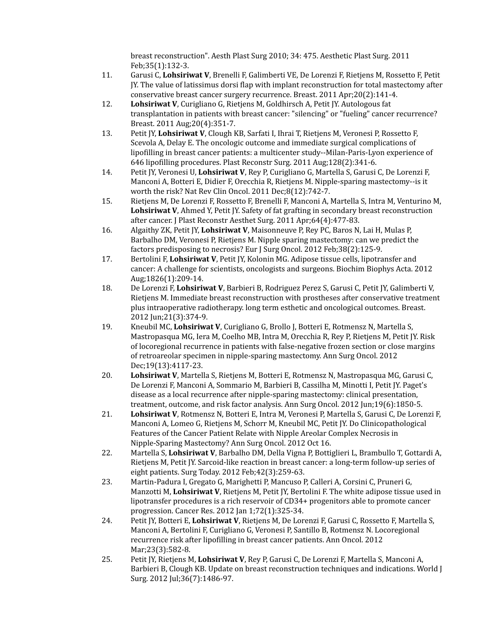breast reconstruction". Aesth Plast Surg 2010; 34: 475. Aesthetic Plast Surg. 2011 Feb;35(1):132-3.

- 11. Garusi C, **Lohsiriwat V**, Brenelli F, Galimberti VE, De Lorenzi F, Rietjens M, Rossetto F, Petit JY. The value of latissimus dorsi flap with implant reconstruction for total mastectomy after conservative breast cancer surgery recurrence. Breast. 2011 Apr;20(2):141-4.
- 12. **Lohsiriwat V**, Curigliano G, Rietjens M, Goldhirsch A, Petit JY. Autologous fat transplantation in patients with breast cancer: "silencing" or "fueling" cancer recurrence? Breast. 2011 Aug;20(4):351-7.
- 13. Petit JY, **Lohsiriwat V**, Clough KB, Sarfati I, Ihrai T, Rietjens M, Veronesi P, Rossetto F, Scevola A, Delay E. The oncologic outcome and immediate surgical complications of lipofilling in breast cancer patients: a multicenter study--Milan-Paris-Lyon experience of 646 lipofilling procedures. Plast Reconstr Surg. 2011 Aug;128(2):341-6.
- 14. Petit JY, Veronesi U, **Lohsiriwat V**, Rey P, Curigliano G, Martella S, Garusi C, De Lorenzi F, Manconi A, Botteri E, Didier F, Orecchia R, Rietjens M. Nipple-sparing mastectomy--is it worth the risk? Nat Rev Clin Oncol. 2011 Dec;8(12):742-7.
- 15. Rietjens M, De Lorenzi F, Rossetto F, Brenelli F, Manconi A, Martella S, Intra M, Venturino M, **Lohsiriwat V**, Ahmed Y, Petit JY. Safety of fat grafting in secondary breast reconstruction after cancer. J Plast Reconstr Aesthet Surg. 2011 Apr;64(4):477-83.
- 16. Algaithy ZK, Petit JY, **Lohsiriwat V**, Maisonneuve P, Rey PC, Baros N, Lai H, Mulas P, Barbalho DM, Veronesi P, Rietjens M. Nipple sparing mastectomy: can we predict the factors predisposing to necrosis? Eur J Surg Oncol. 2012 Feb;38(2):125-9.
- 17. Bertolini F, **Lohsiriwat V**, Petit JY, Kolonin MG. Adipose tissue cells, lipotransfer and cancer: A challenge for scientists, oncologists and surgeons. Biochim Biophys Acta. 2012 Aug;1826(1):209-14.
- 18. De Lorenzi F, **Lohsiriwat V**, Barbieri B, Rodriguez Perez S, Garusi C, Petit JY, Galimberti V, Rietjens M. Immediate breast reconstruction with prostheses after conservative treatment plus intraoperative radiotherapy. long term esthetic and oncological outcomes. Breast. 2012 Jun;21(3):374-9.
- 19. Kneubil MC, **Lohsiriwat V**, Curigliano G, Brollo J, Botteri E, Rotmensz N, Martella S, Mastropasqua MG, Iera M, Coelho MB, Intra M, Orecchia R, Rey P, Rietjens M, Petit JY. Risk of locoregional recurrence in patients with false-negative frozen section or close margins of retroareolar specimen in nipple-sparing mastectomy. Ann Surg Oncol. 2012 Dec;19(13):4117-23.
- 20. **Lohsiriwat V**, Martella S, Rietjens M, Botteri E, Rotmensz N, Mastropasqua MG, Garusi C, De Lorenzi F, Manconi A, Sommario M, Barbieri B, Cassilha M, Minotti I, Petit JY. Paget's disease as a local recurrence after nipple-sparing mastectomy: clinical presentation, treatment, outcome, and risk factor analysis. Ann Surg Oncol. 2012 Jun;19(6):1850-5.
- 21. **Lohsiriwat V**, Rotmensz N, Botteri E, Intra M, Veronesi P, Martella S, Garusi C, De Lorenzi F, Manconi A, Lomeo G, Rietjens M, Schorr M, Kneubil MC, Petit JY. Do Clinicopathological Features of the Cancer Patient Relate with Nipple Areolar Complex Necrosis in Nipple-Sparing Mastectomy? Ann Surg Oncol. 2012 Oct 16.
- 22. Martella S, **Lohsiriwat V**, Barbalho DM, Della Vigna P, Bottiglieri L, Brambullo T, Gottardi A, Rietjens M, Petit JY. Sarcoid-like reaction in breast cancer: a long-term follow-up series of eight patients. Surg Today. 2012 Feb;42(3):259-63.
- 23. Martin-Padura I, Gregato G, Marighetti P, Mancuso P, Calleri A, Corsini C, Pruneri G, Manzotti M, **Lohsiriwat V**, Rietjens M, Petit JY, Bertolini F. The white adipose tissue used in lipotransfer procedures is a rich reservoir of CD34+ progenitors able to promote cancer progression. Cancer Res. 2012 Jan 1;72(1):325-34.
- 24. Petit JY, Botteri E, **Lohsiriwat V**, Rietjens M, De Lorenzi F, Garusi C, Rossetto F, Martella S, Manconi A, Bertolini F, Curigliano G, Veronesi P, Santillo B, Rotmensz N. Locoregional recurrence risk after lipofilling in breast cancer patients. Ann Oncol. 2012 Mar;23(3):582-8.
- 25. Petit JY, Rietjens M, **Lohsiriwat V**, Rey P, Garusi C, De Lorenzi F, Martella S, Manconi A, Barbieri B, Clough KB. Update on breast reconstruction techniques and indications. World J Surg. 2012 Jul;36(7):1486-97.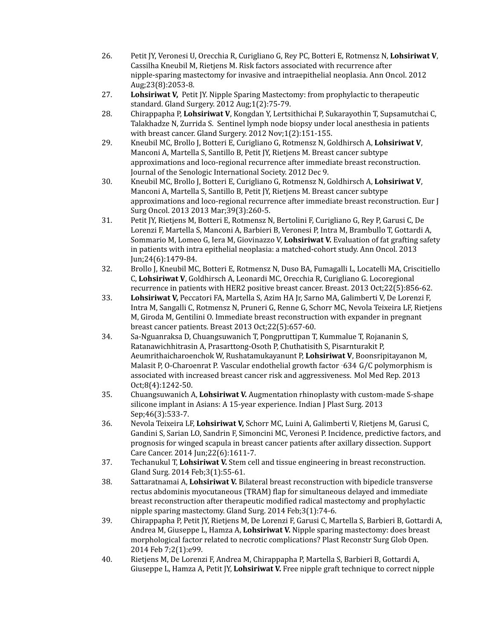- 26. Petit JY, Veronesi U, Orecchia R, Curigliano G, Rey PC, Botteri E, Rotmensz N, **Lohsiriwat V**, Cassilha Kneubil M, Rietjens M. Risk factors associated with recurrence after nipple-sparing mastectomy for invasive and intraepithelial neoplasia. Ann Oncol. 2012 Aug;23(8):2053-8.
- 27. **Lohsiriwat V,** Petit JY. Nipple Sparing Mastectomy: from prophylactic to therapeutic standard. Gland Surgery. 2012 Aug;1(2):75-79.
- 28. Chirappapha P, **Lohsiriwat V**, Kongdan Y, Lertsithichai P, Sukarayothin T, Supsamutchai C, Talakhadze N, Zurrida S. Sentinel lymph node biopsy under local anesthesia in patients with breast cancer. Gland Surgery. 2012 Nov;1(2):151-155.
- 29. Kneubil MC, Brollo J, Botteri E, Curigliano G, Rotmensz N, Goldhirsch A, **Lohsiriwat V**, Manconi A, Martella S, Santillo B, Petit JY, Rietjens M. Breast cancer subtype approximations and loco-regional recurrence after immediate breast reconstruction. Journal of the Senologic International Society. 2012 Dec 9.
- 30. Kneubil MC, Brollo J, Botteri E, Curigliano G, Rotmensz N, Goldhirsch A, **Lohsiriwat V**, Manconi A, Martella S, Santillo B, Petit JY, Rietjens M. Breast cancer subtype approximations and loco-regional recurrence after immediate breast reconstruction. Eur J Surg Oncol. 2013 2013 Mar;39(3):260-5.
- 31. Petit JY, Rietjens M, Botteri E, Rotmensz N, Bertolini F, Curigliano G, Rey P, Garusi C, De Lorenzi F, Martella S, Manconi A, Barbieri B, Veronesi P, Intra M, Brambullo T, Gottardi A, Sommario M, Lomeo G, Iera M, Giovinazzo V, **Lohsiriwat V.** Evaluation of fat grafting safety in patients with intra epithelial neoplasia: a matched-cohort study. Ann Oncol. 2013 Jun;24(6):1479-84.
- 32. Brollo J, Kneubil MC, Botteri E, Rotmensz N, Duso BA, Fumagalli L, Locatelli MA, Criscitiello C, **Lohsiriwat V**, Goldhirsch A, Leonardi MC, Orecchia R, Curigliano G. Locoregional recurrence in patients with HER2 positive breast cancer. Breast. 2013 Oct;22(5):856-62.
- 33. **Lohsiriwat V,** Peccatori FA, Martella S, Azim HA Jr, Sarno MA, Galimberti V, De Lorenzi F, Intra M, Sangalli C, Rotmensz N, Pruneri G, Renne G, Schorr MC, Nevola Teixeira LF, Rietjens M, Giroda M, Gentilini O. Immediate breast reconstruction with expander in pregnant breast cancer patients. Breast 2013 Oct;22(5):657-60.
- 34. Sa-Nguanraksa D, Chuangsuwanich T, Pongpruttipan T, Kummalue T, Rojananin S, Ratanawichhitrasin A, Prasarttong-Osoth P, Chuthatisith S, Pisarnturakit P, Aeumrithaicharoenchok W, Rushatamukayanunt P, **Lohsiriwat V**, Boonsripitayanon M, Malasit P, O-Charoenrat P. Vascular endothelial growth factor -634 G/C polymorphism is associated with increased breast cancer risk and aggressiveness. Mol Med Rep. 2013 Oct;8(4):1242-50.
- 35. Chuangsuwanich A, **Lohsiriwat V.** Augmentation rhinoplasty with custom-made S-shape silicone implant in Asians: A 15-year experience. Indian J Plast Surg. 2013 Sep;46(3):533-7.
- 36. Nevola Teixeira LF, **Lohsiriwat V,** Schorr MC, Luini A, Galimberti V, Rietjens M, Garusi C, Gandini S, Sarian LO, Sandrin F, Simoncini MC, Veronesi P. Incidence, predictive factors, and prognosis for winged scapula in breast cancer patients after axillary dissection. Support Care Cancer. 2014 Jun;22(6):1611-7.
- 37. Techanukul T, **Lohsiriwat V.** Stem cell and tissue engineering in breast reconstruction. Gland Surg. 2014 Feb;3(1):55-61.
- 38. Sattaratnamai A, **Lohsiriwat V.** Bilateral breast reconstruction with bipedicle transverse rectus abdominis myocutaneous (TRAM) flap for simultaneous delayed and immediate breast reconstruction after therapeutic modified radical mastectomy and prophylactic nipple sparing mastectomy. Gland Surg. 2014 Feb;3(1):74-6.
- 39. Chirappapha P, Petit JY, Rietjens M, De Lorenzi F, Garusi C, Martella S, Barbieri B, Gottardi A, Andrea M, Giuseppe L, Hamza A, **Lohsiriwat V.** Nipple sparing mastectomy: does breast morphological factor related to necrotic complications? Plast Reconstr Surg Glob Open. 2014 Feb 7;2(1):e99.
- 40. Rietjens M, De Lorenzi F, Andrea M, Chirappapha P, Martella S, Barbieri B, Gottardi A, Giuseppe L, Hamza A, Petit JY, **Lohsiriwat V.** Free nipple graft technique to correct nipple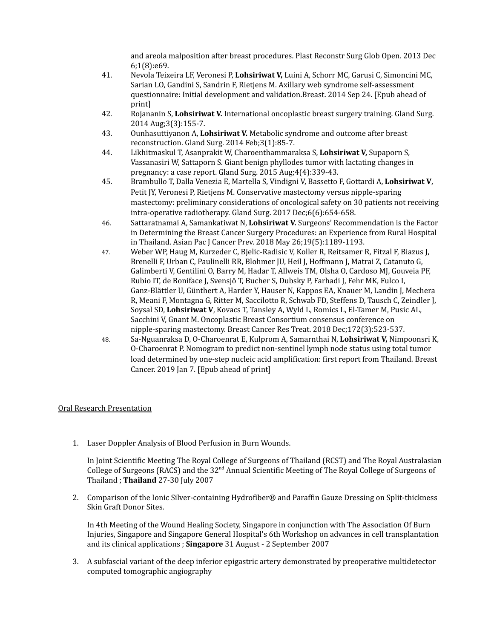and areola malposition after breast procedures. Plast Reconstr Surg Glob Open. 2013 Dec 6;1(8):e69.

- 41. Nevola Teixeira LF, Veronesi P, **Lohsiriwat V,** Luini A, Schorr MC, Garusi C, Simoncini MC, Sarian LO, Gandini S, Sandrin F, Rietjens M. Axillary web syndrome self-assessment questionnaire: Initial development and validation.Breast. 2014 Sep 24. [Epub ahead of print]
- 42. Rojananin S, **Lohsiriwat V.** International oncoplastic breast surgery training. Gland Surg. 2014 Aug;3(3):155-7.
- 43. Ounhasuttiyanon A, **Lohsiriwat V.** Metabolic syndrome and outcome after breast reconstruction. Gland Surg. 2014 Feb;3(1):85-7.
- 44. Likhitmaskul T, Asanprakit W, Charoenthammaraksa S, **Lohsiriwat V,** Supaporn S, Vassanasiri W, Sattaporn S. Giant benign phyllodes tumor with lactating changes in pregnancy: a case report. Gland Surg. 2015 Aug;4(4):339-43.
- 45. Brambullo T, Dalla Venezia E, Martella S, Vindigni V, Bassetto F, Gottardi A, **Lohsiriwat V**, Petit JY, Veronesi P, Rietjens M. Conservative mastectomy versus nipple-sparing mastectomy: preliminary considerations of oncological safety on 30 patients not receiving intra-operative radiotherapy. Gland Surg. 2017 Dec;6(6):654-658.
- 46. Sattaratnamai A, Samankatiwat N, **Lohsiriwat V.** Surgeons' Recommendation is the Factor in Determining the Breast Cancer Surgery Procedures: an Experience from Rural Hospital in Thailand. Asian Pac J Cancer Prev. 2018 May 26;19(5):1189-1193.
- 47. Weber WP, Haug M, Kurzeder C, Bjelic-Radisic V, Koller R, Reitsamer R, Fitzal F, Biazus J, Brenelli F, Urban C, Paulinelli RR, Blohmer JU, Heil J, Hoffmann J, Matrai Z, Catanuto G, Galimberti V, Gentilini O, Barry M, Hadar T, Allweis TM, Olsha O, Cardoso MJ, Gouveia PF, Rubio IT, de Boniface J, Svensjö T, Bucher S, Dubsky P, Farhadi J, Fehr MK, Fulco I, Ganz-Blättler U, Günthert A, Harder Y, Hauser N, Kappos EA, Knauer M, Landin J, Mechera R, Meani F, Montagna G, Ritter M, Saccilotto R, Schwab FD, Steffens D, Tausch C, Zeindler J, Soysal SD, **Lohsiriwat V**, Kovacs T, Tansley A, Wyld L, Romics L, El-Tamer M, Pusic AL, Sacchini V, Gnant M. Oncoplastic Breast Consortium consensus conference on nipple-sparing mastectomy. Breast Cancer Res Treat. 2018 Dec;172(3):523-537.
- 48. Sa-Nguanraksa D, O-Charoenrat E, Kulprom A, Samarnthai N, **Lohsiriwat V,** Nimpoonsri K, O-Charoenrat P. Nomogram to predict non-sentinel lymph node status using total tumor load determined by one-step nucleic acid amplification: first report from Thailand. Breast Cancer. 2019 Jan 7. [Epub ahead of print]

# Oral Research Presentation

1. Laser Doppler Analysis of Blood Perfusion in Burn Wounds.

In Joint Scientific Meeting The Royal College of Surgeons of Thailand (RCST) and The Royal Australasian College of Surgeons (RACS) and the 32<sup>nd</sup> Annual Scientific Meeting of The Royal College of Surgeons of Thailand ; **Thailand** 27-30 July 2007

2. Comparison of the Ionic Silver-containing Hydrofiber® and Paraffin Gauze Dressing on Split-thickness Skin Graft Donor Sites.

In 4th Meeting of the Wound Healing Society, Singapore in conjunction with The Association Of Burn Injuries, Singapore and Singapore General Hospital's 6th Workshop on advances in cell transplantation and its clinical applications ; **Singapore** 31 August - 2 September 2007

3. A subfascial variant of the deep inferior epigastric artery demonstrated by preoperative multidetector computed tomographic angiography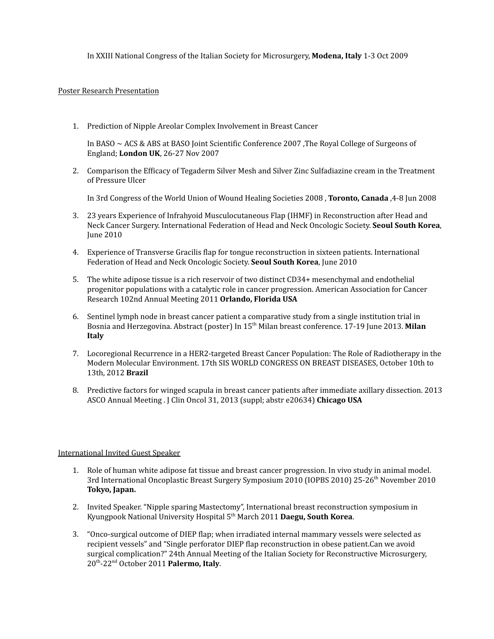In XXIII National Congress of the Italian Society for Microsurgery, **Modena, Italy** 1-3 Oct 2009

### Poster Research Presentation

1. Prediction of Nipple Areolar Complex Involvement in Breast Cancer

In BASO ~ ACS & ABS at BASO Joint Scientific Conference 2007 ,The Royal College of Surgeons of England; **London UK**, 26-27 Nov 2007

2. Comparison the Efficacy of Tegaderm Silver Mesh and Silver Zinc Sulfadiazine cream in the Treatment of Pressure Ulcer

In 3rd Congress of the World Union of Wound Healing Societies 2008 , **Toronto, Canada** ,4-8 Jun 2008

- 3. 23 years Experience of Infrahyoid Musculocutaneous Flap (IHMF) in Reconstruction after Head and Neck Cancer Surgery. International Federation of Head and Neck Oncologic Society. **Seoul South Korea**, June 2010
- 4. Experience of Transverse Gracilis flap for tongue reconstruction in sixteen patients. International Federation of Head and Neck Oncologic Society. **Seoul South Korea**, June 2010
- 5. The white adipose tissue is a rich reservoir of two distinct CD34+ mesenchymal and endothelial progenitor populations with a catalytic role in cancer progression. American Association for Cancer Research 102nd Annual Meeting 2011 **Orlando, Florida USA**
- 6. Sentinel lymph node in breast cancer patient a comparative study from a single institution trial in Bosnia and Herzegovina. Abstract (poster) In 15<sup>th</sup> Milan breast conference. 17-19 June 2013. Milan **Italy**
- 7. Locoregional Recurrence in a HER2-targeted Breast Cancer Population: The Role of Radiotherapy in the Modern Molecular Environment. 17th SIS WORLD CONGRESS ON BREAST DISEASES, October 10th to 13th, 2012 **Brazil**
- 8. Predictive factors for winged scapula in breast cancer patients after immediate axillary dissection. 2013 ASCO Annual Meeting . J Clin Oncol 31, 2013 (suppl; abstr e20634) **Chicago USA**

### International Invited Guest Speaker

- 1. Role of human white adipose fat tissue and breast cancer progression. In vivo study in animal model. 3rd International Oncoplastic Breast Surgery Symposium 2010 (IOPBS 2010) 25-26<sup>th</sup> November 2010 **Tokyo, Japan.**
- 2. Invited Speaker. "Nipple sparing Mastectomy", International breast reconstruction symposium in Kyungpook National University Hospital 5 th March 2011 **Daegu, South Korea**.
- 3. "Onco-surgical outcome of DIEP flap; when irradiated internal mammary vessels were selected as recipient vessels" and "Single perforator DIEP flap reconstruction in obese patient.Can we avoid surgical complication?" 24th Annual Meeting of the Italian Society for Reconstructive Microsurgery, 20 th -22 nd October 2011 **Palermo, Italy**.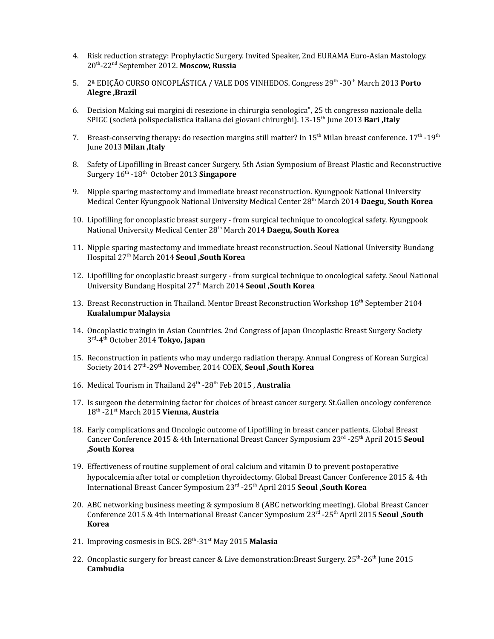- 4. Risk reduction strategy: Prophylactic Surgery. Invited Speaker, 2nd EURAMA Euro-Asian Mastology. 20 th -22 nd September 2012. **Moscow, Russia**
- 5. 2ª EDIÇÃO CURSO ONCOPLÁSTICA / VALE DOS VINHEDOS. Congress 29<sup>th</sup> -30<sup>th</sup> March 2013 **Porto Alegre ,Brazil**
- 6. Decision Making sui margini di resezione in chirurgia senologica", 25 th congresso nazionale della SPIGC (società polispecialistica italiana dei giovani chirurghi). 13-15 th June 2013 **Bari ,Italy**
- 7. Breast-conserving therapy: do resection margins still matter? In 15<sup>th</sup> Milan breast conference. 17<sup>th</sup> -19<sup>th</sup> June 2013 **Milan ,Italy**
- 8. Safety of Lipofilling in Breast cancer Surgery. 5th Asian Symposium of Breast Plastic and Reconstructive Surgery 16 th -18 th October 2013 **Singapore**
- 9. Nipple sparing mastectomy and immediate breast reconstruction. Kyungpook National University Medical Center Kyungpook National University Medical Center 28 th March 2014 **Daegu, South Korea**
- 10. Lipofilling for oncoplastic breast surgery from surgical technique to oncological safety. Kyungpook National University Medical Center 28 th March 2014 **Daegu, South Korea**
- 11. Nipple sparing mastectomy and immediate breast reconstruction. Seoul National University Bundang Hospital 27 th March 2014 **Seoul ,South Korea**
- 12. Lipofilling for oncoplastic breast surgery from surgical technique to oncological safety. Seoul National University Bundang Hospital 27 th March 2014 **Seoul ,South Korea**
- 13. Breast Reconstruction in Thailand. Mentor Breast Reconstruction Workshop 18<sup>th</sup> September 2104 **Kualalumpur Malaysia**
- 14. Oncoplastic traingin in Asian Countries. 2nd Congress of Japan Oncoplastic Breast Surgery Society 3 rd -4 th October 2014 **Tokyo, Japan**
- 15. Reconstruction in patients who may undergo radiation therapy. Annual Congress of Korean Surgical Society 2014 27 th -29 th November, 2014 COEX, **Seoul ,South Korea**
- 16. Medical Tourism in Thailand 24<sup>th</sup> -28<sup>th</sup> Feb 2015, Australia
- 17. Is surgeon the determining factor for choices of breast cancer surgery. St.Gallen oncology conference 18 th -21 st March 2015 **Vienna, Austria**
- 18. Early complications and Oncologic outcome of Lipofilling in breast cancer patients. Global Breast Cancer Conference 2015 & 4th International Breast Cancer Symposium 23 rd -25 th April 2015 **Seoul ,South Korea**
- 19. Effectiveness of routine supplement of oral calcium and vitamin D to prevent postoperative hypocalcemia after total or completion thyroidectomy. Global Breast Cancer Conference 2015 & 4th International Breast Cancer Symposium 23 rd -25 th April 2015 **Seoul ,South Korea**
- 20. ABC networking business meeting & symposium 8 (ABC networking meeting). Global Breast Cancer Conference 2015 & 4th International Breast Cancer Symposium 23 rd -25 th April 2015 **Seoul ,South Korea**
- 21. Improving cosmesis in BCS. 28<sup>th</sup>-31<sup>st</sup> May 2015 Malasia
- 22. Oncoplastic surgery for breast cancer & Live demonstration:Breast Surgery. 25<sup>th</sup>-26<sup>th</sup> June 2015 **Cambudia**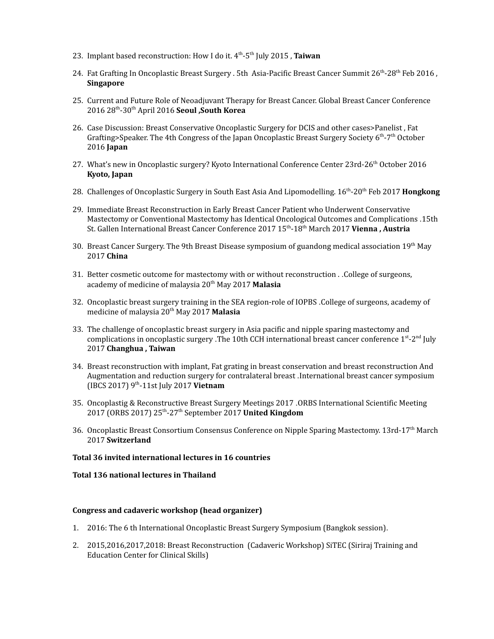- 23. Implant based reconstruction: How I do it. 4 th -5 th July 2015 , **Taiwan**
- 24. Fat Grafting In Oncoplastic Breast Surgery . 5th Asia-Pacific Breast Cancer Summit 26<sup>th</sup>-28<sup>th</sup> Feb 2016 , **Singapore**
- 25. Current and Future Role of Neoadjuvant Therapy for Breast Cancer. Global Breast Cancer Conference 2016 28 th -30 th April 2016 **Seoul ,South Korea**
- 26. Case Discussion: Breast Conservative Oncoplastic Surgery for DCIS and other cases>Panelist , Fat Grafting>Speaker. The 4th Congress of the Japan Oncoplastic Breast Surgery Society 6<sup>th</sup>-7<sup>th</sup> October 2016 **Japan**
- 27. What's new in Oncoplastic surgery? Kyoto International Conference Center 23rd-26<sup>th</sup> October 2016 **Kyoto, Japan**
- 28. Challenges of Oncoplastic Surgery in South East Asia And Lipomodelling. 16<sup>th</sup>-20<sup>th</sup> Feb 2017 **Hongkong**
- 29. Immediate Breast Reconstruction in Early Breast Cancer Patient who Underwent Conservative Mastectomy or Conventional Mastectomy has Identical Oncological Outcomes and Complications .15th St. Gallen International Breast Cancer Conference 2017 15 th -18 th March 2017 **Vienna , Austria**
- 30. Breast Cancer Surgery. The 9th Breast Disease symposium of guandong medical association 19<sup>th</sup> May 2017 **China**
- 31. Better cosmetic outcome for mastectomy with or without reconstruction . .College of surgeons, academy of medicine of malaysia 20 th May 2017 **Malasia**
- 32. Oncoplastic breast surgery training in the SEA region-role of IOPBS .College of surgeons, academy of medicine of malaysia 20 th May 2017 **Malasia**
- 33. The challenge of oncoplastic breast surgery in Asia pacific and nipple sparing mastectomy and complications in oncoplastic surgery . The 10th CCH international breast cancer conference 1<sup>st</sup>-2<sup>nd</sup> July 2017 **Changhua , Taiwan**
- 34. Breast reconstruction with implant, Fat grating in breast conservation and breast reconstruction And Augmentation and reduction surgery for contralateral breast .International breast cancer symposium (IBCS 2017) 9 th -11st July 2017 **Vietnam**
- 35. Oncoplastig & Reconstructive Breast Surgery Meetings 2017 .ORBS International Scientific Meeting 2017 (ORBS 2017) 25 th -27 th September 2017 **United Kingdom**
- 36. Oncoplastic Breast Consortium Consensus Conference on Nipple Sparing Mastectomy. 13rd-17<sup>th</sup> March 2017 **Switzerland**

### **Total 36 invited international lectures in 16 countries**

### **Total 136 national lectures in Thailand**

### **Congress and cadaveric workshop (head organizer)**

- 1. 2016: The 6 th International Oncoplastic Breast Surgery Symposium (Bangkok session).
- 2. 2015,2016,2017,2018: Breast Reconstruction (Cadaveric Workshop) SiTEC (Siriraj Training and Education Center for Clinical Skills)